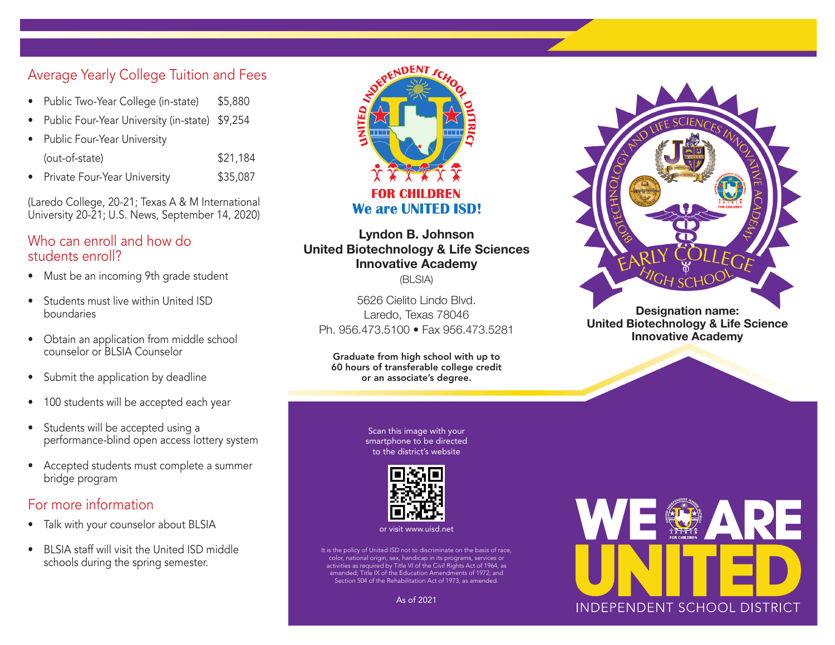# Average Yearly College Tuition and Fees

- Public Two-Year College (in-state) \$5,880
- Public Four-Year University (in-state) \$9,254
- Public Four-Year University (out-of-state) \$21,184
- Private Four-Year University **\$35,087**

(Laredo College, 20-21; Texas A & M International University 20-21; U.S. News, September 14, 2020)

### Who can enroll and how do students enroll?

- Must be an incoming 9th grade student
- Students must live within United ISD boundaries
- Obtain an application from middle school counselor or BLSIA Counselor
- Submit the application by deadline
- 100 students will be accepted each year
- Students will be accepted using a performance-blind open access lottery system
- Accepted students must complete a summer bridge program

## For more information

- Talk with your counselor about BLSIA
- BLSIA staff will visit the United ISD middle schools during the spring semester.



#### **Lyndon B. Johnson United Biotechnology & Life Sciences Innovative Academy** (BLSIA)

5626 Cielito Lindo Blvd. Laredo, Texas 78046

Ph. 956.473.5100 • Fax 956.473.5281

Graduate from high school with up to 60 hours of transferable college credit or an associate's degree.

> Scan this image with your smartphone to be directed to the district's website



or visit www.uisd.net

It is the policy of United ISD not to discriminate on the basis of race, color, national origin, sex, handicap in its programs, services or activities as required by Title VI of the Civil Rights Act of 1964, as amended; Title IX of the Education Amendments of 1972; and Section 504 of the Rehabilitation Act of 1973, as amended.



**United Biotechnology & Life Science Innovative Academy**



As of 2021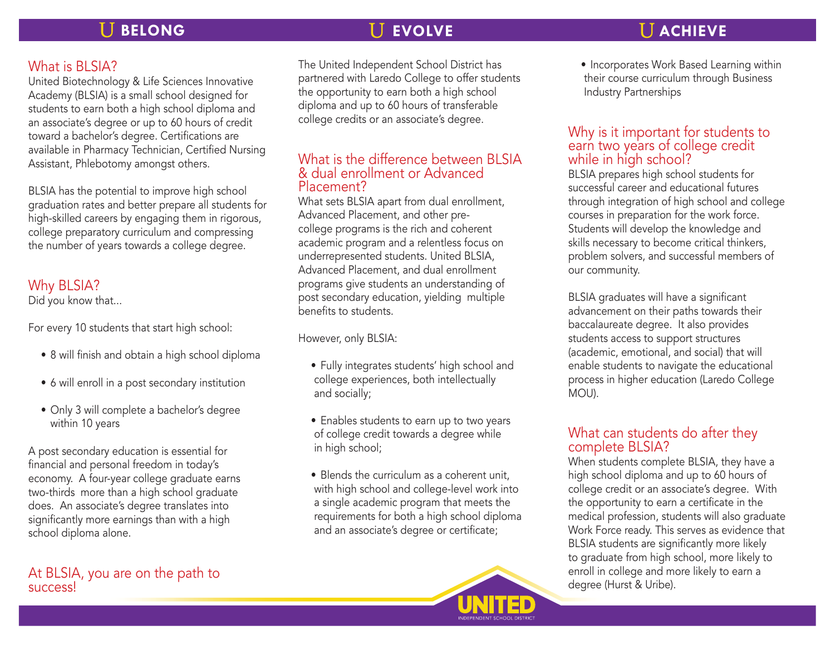# **BELONG EVOLVE EVOLVE ACHIEVE**

## What is BLSIA?

United Biotechnology & Life Sciences Innovative Academy (BLSIA) is a small school designed for students to earn both a high school diploma and an associate's degree or up to 60 hours of credit toward a bachelor's degree. Certifications are available in Pharmacy Technician, Certified Nursing Assistant, Phlebotomy amongst others.

BLSIA has the potential to improve high school graduation rates and better prepare all students for high-skilled careers by engaging them in rigorous, college preparatory curriculum and compressing the number of years towards a college degree.

# Why BLSIA?

Did you know that...

For every 10 students that start high school:

- 8 will finish and obtain a high school diploma
- 6 will enroll in a post secondary institution
- Only 3 will complete a bachelor's degree within 10 years

A post secondary education is essential for financial and personal freedom in today's economy. A four-year college graduate earns two-thirds more than a high school graduate does. An associate's degree translates into significantly more earnings than with a high school diploma alone.

### At BLSIA, you are on the path to success!

The United Independent School District has partnered with Laredo College to offer students the opportunity to earn both a high school diploma and up to 60 hours of transferable college credits or an associate's degree.

#### What is the difference between BLSIA & dual enrollment or Advanced Placement?

What sets BLSIA apart from dual enrollment, Advanced Placement, and other precollege programs is the rich and coherent academic program and a relentless focus on underrepresented students. United BLSIA, Advanced Placement, and dual enrollment programs give students an understanding of post secondary education, yielding multiple benefits to students.

However, only BLSIA:

- Fully integrates students' high school and college experiences, both intellectually and socially;
- Enables students to earn up to two years of college credit towards a degree while in high school;
- Blends the curriculum as a coherent unit, with high school and college-level work into a single academic program that meets the requirements for both a high school diploma and an associate's degree or certificate;



• Incorporates Work Based Learning within their course curriculum through Business Industry Partnerships

#### Why is it important for students to earn two years of college credit while in high school?

BLSIA prepares high school students for successful career and educational futures through integration of high school and college courses in preparation for the work force. Students will develop the knowledge and skills necessary to become critical thinkers, problem solvers, and successful members of our community.

BLSIA graduates will have a significant advancement on their paths towards their baccalaureate degree. It also provides students access to support structures (academic, emotional, and social) that will enable students to navigate the educational process in higher education (Laredo College MOU).

### What can students do after they complete BLSIA?

When students complete BLSIA, they have a high school diploma and up to 60 hours of college credit or an associate's degree. With the opportunity to earn a certificate in the medical profession, students will also graduate Work Force ready. This serves as evidence that BLSIA students are significantly more likely to graduate from high school, more likely to enroll in college and more likely to earn a degree (Hurst & Uribe).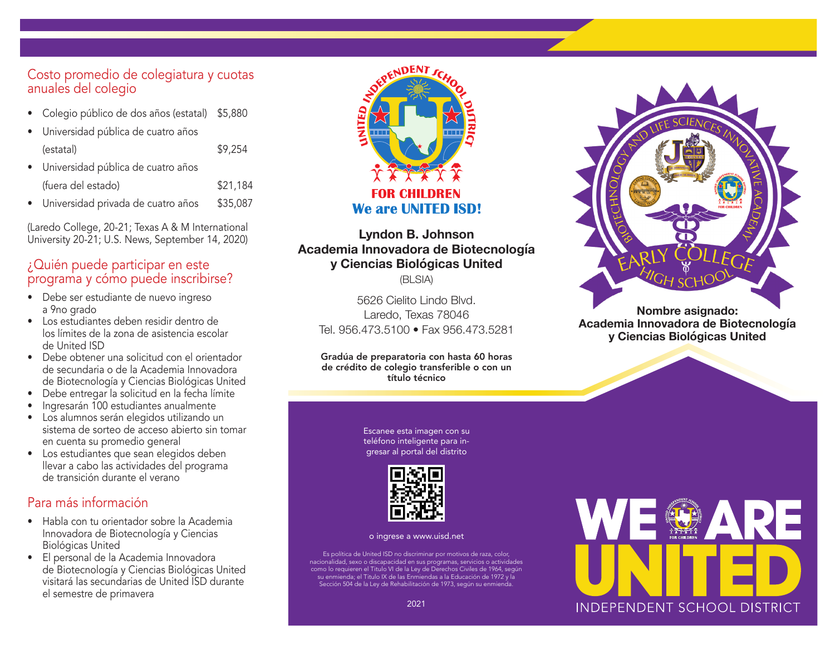#### Costo promedio de colegiatura y cuotas anuales del colegio

- Colegio público de dos años (estatal) \$5,880
- Universidad pública de cuatro años

| (estatal)                            | \$9,254  |
|--------------------------------------|----------|
| · Universidad pública de cuatro años |          |
| (fuera del estado)                   | \$21,184 |

• Universidad privada de cuatro años \$35,087

(Laredo College, 20-21; Texas A & M International University 20-21; U.S. News, September 14, 2020)

### ¿Quién puede participar en este programa y cómo puede inscribirse?

- Debe ser estudiante de nuevo ingreso a 9no grado
- Los estudiantes deben residir dentro de los límites de la zona de asistencia escolar de United ISD
- Debe obtener una solicitud con el orientador de secundaria o de la Academia Innovadora de Biotecnología y Ciencias Biológicas United
- Debe entregar la solicitud en la fecha límite
- Ingresarán 100 estudiantes anualmente
- Los alumnos serán elegidos utilizando un sistema de sorteo de acceso abierto sin tomar en cuenta su promedio general
- Los estudiantes que sean elegidos deben llevar a cabo las actividades del programa de transición durante el verano

### Para más información

- Habla con tu orientador sobre la Academia Innovadora de Biotecnología y Ciencias Biológicas United
- El personal de la Academia Innovadora de Biotecnología y Ciencias Biológicas United visitará las secundarias de United ISD durante el semestre de primavera



# **Lyndon B. Johnson Academia Innovadora de Biotecnología y Ciencias Biológicas United**

(BLSIA)

5626 Cielito Lindo Blvd. Laredo, Texas 78046 Tel. 956.473.5100 • Fax 956.473.5281

Gradúa de preparatoria con hasta 60 horas de crédito de colegio transferible o con un título técnico

> Escanee esta imagen con su teléfono inteligente para ingresar al portal del distrito



o ingrese a www.uisd.net

Es política de United ISD no discriminar por motivos de raza, color, nacionalidad, sexo o discapacidad en sus programas, servicios o actividades como lo requieren el Titulo VI de la Ley de Derechos Civiles de 1964, según su enmienda; el Titulo IX de las Enmiendas a la Educación de 1972 y la Sección 504 de la Ley de Rehabilitación de 1973, según su enmienda.



**Academia Innovadora de Biotecnología y Ciencias Biológicas United**